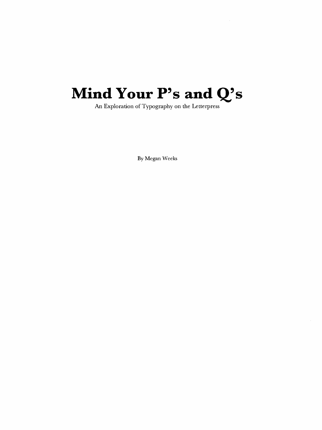# **Mind Your P's and Q's**

An Exploration of Typography on the Letterpress

By Megan Weeks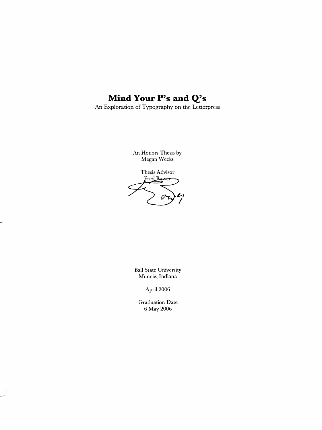## **Mind Your P's and Q;s**

÷

- 1

An Exploration of Typography on the Letterpress

An Honors Thesis by Megan Weeks

Thesis Advisor<br>Fred Bower 0

Ball State University Muncie, Indiana

April 2006

Graduation Date 6 May 2006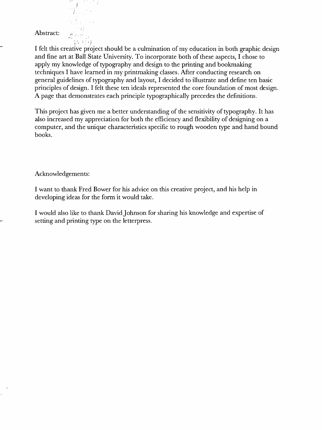### Abstract:

 $\sqrt{414}$ I felt this creative project should be a culmination of my education in both graphic design and fine art at Ball State University. To incorporate both of these aspects, I chose to apply my knowledge of typography and design to the printing and bookmaking techniques I have learned in my printmaking classes. After conducting research on general guidelines of typography and layout, I decided to illustrate and define ten basic principles of design. I felt these ten ideals represented the core foundation of most design. A page that demonstrates each principle typographically precedes the definitions.

This project has given me a better understanding of the sensitivity of typography. It has also increased my appreciation for both the efficiency and flexibility of designing on a computer, and the unique characteristics specific to rough wooden type and hand bound books.

#### Acknowledgements:

I want to thank Fred Bower for his advice on this creative project, and his help in developing ideas for the form it would take.

I would also like to thank DavidJohnson for sharing his knowledge and expertise of setting and printing type on the letterpress.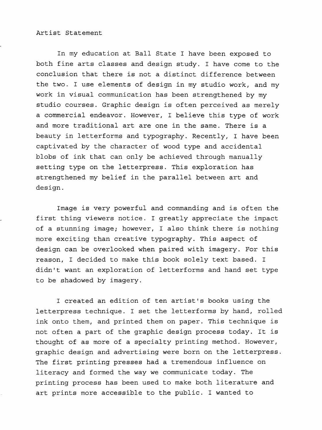#### Artist Statement

In my education at Ball State I have been exposed to both fine arts classes and design study. I have come to the conclusion that there is not a distinct difference between the two. I use elements of design in my studio work, and my work in visual communication has been strengthened by my studio courses. Graphic design is often perceived as merely a commercial endeavor. However, I believe this type of work and more traditional art are one in the same. There is a beauty in letterforms and typography. Recently, I have been captivated by the character of wood type and accidental blobs of ink that can only be achieved through manually setting type on the letterpress. This exploration has strengthened my belief in the parallel between art and design.

Image is very powerful and commanding and is often the first thing viewers notice. I greatly appreciate the impact of a stunning image; however, I also think there is nothing more exciting than creative typography. This aspect of design can be overlooked when paired with imagery. For this reason, I decided to make this book solely text based. I didn't want an exploration of letterforms and hand set type to be shadowed by imagery.

I created an edition of ten artist's books using the letterpress technique. I set the letterforms by hand, rolled ink onto them, and printed them on paper. This technique is not often a part of the graphic design process today. It is thought of as more of a specialty printing method. However, graphic design and advertising were born on the letterpress. The first printing presses had a tremendous influence on literacy and formed the way we communicate today. The printing process has been used to make both literature and art prints more accessible to the public. I wanted to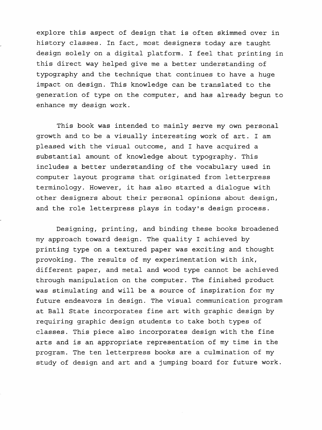explore this aspect of design that is often skimmed over in history classes. In fact, most designers today are taught design solely on a digital platform. I feel that printing in this direct way helped give me a better understanding of typography and the technique that continues to have a huge impact on design. This knowledge can be translated to the generation of type on the computer, and has already begun to enhance my design work.

This book was intended to mainly serve my own personal growth and to be a visually interesting work of art. I am pleased with the visual outcome, and I have acquired a substantial amount of knowledge about typography. This includes a better understanding of the vocabulary used in computer layout programs that originated from letterpress terminology. However, it has also started a dialogue with other designers about their personal opinions about design, and the role letterpress plays in today's design process.

Designing, printing, and binding these books broadened my approach toward design. The quality I achieved by printing type on a textured paper was exciting and thought provoking. The results of my experimentation with ink, different paper, and metal and wood type cannot be achieved through manipulation on the computer. The finished product was stimulating and will be a source of inspiration for my future endeavors in design. The visual communication program at Ball State incorporates fine art with graphic design by requiring graphic design students to take both types of classes. This piece also incorporates design with the fine arts and is an appropriate representation of my time in the program. The ten letterpress books are a culmination of my study of design and art and a jumping board for future work.